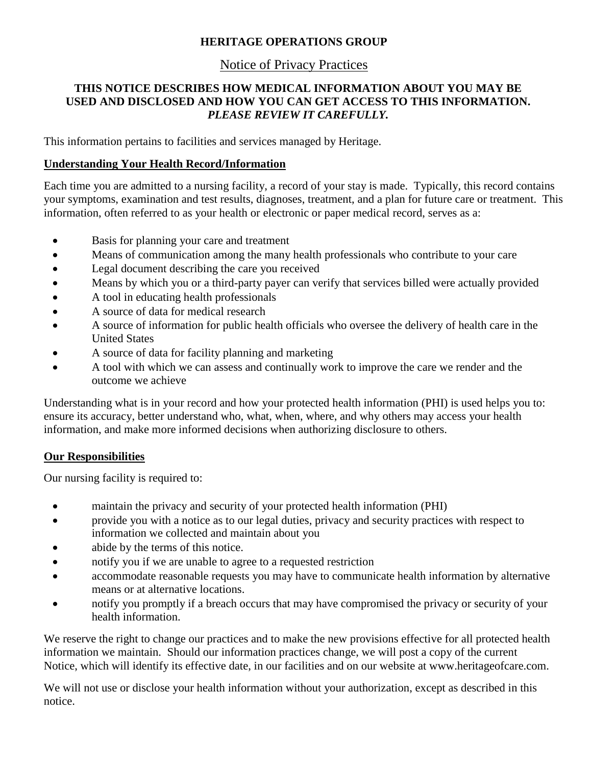## **HERITAGE OPERATIONS GROUP**

# Notice of Privacy Practices

## **THIS NOTICE DESCRIBES HOW MEDICAL INFORMATION ABOUT YOU MAY BE USED AND DISCLOSED AND HOW YOU CAN GET ACCESS TO THIS INFORMATION.** *PLEASE REVIEW IT CAREFULLY.*

This information pertains to facilities and services managed by Heritage.

### **Understanding Your Health Record/Information**

Each time you are admitted to a nursing facility, a record of your stay is made. Typically, this record contains your symptoms, examination and test results, diagnoses, treatment, and a plan for future care or treatment. This information, often referred to as your health or electronic or paper medical record, serves as a:

- Basis for planning your care and treatment
- Means of communication among the many health professionals who contribute to your care
- Legal document describing the care you received
- Means by which you or a third-party payer can verify that services billed were actually provided
- A tool in educating health professionals
- A source of data for medical research
- A source of information for public health officials who oversee the delivery of health care in the United States
- A source of data for facility planning and marketing
- A tool with which we can assess and continually work to improve the care we render and the outcome we achieve

Understanding what is in your record and how your protected health information (PHI) is used helps you to: ensure its accuracy, better understand who, what, when, where, and why others may access your health information, and make more informed decisions when authorizing disclosure to others.

### **Our Responsibilities**

Our nursing facility is required to:

- maintain the privacy and security of your protected health information (PHI)
- provide you with a notice as to our legal duties, privacy and security practices with respect to information we collected and maintain about you
- abide by the terms of this notice.
- notify you if we are unable to agree to a requested restriction
- accommodate reasonable requests you may have to communicate health information by alternative means or at alternative locations.
- notify you promptly if a breach occurs that may have compromised the privacy or security of your health information.

We reserve the right to change our practices and to make the new provisions effective for all protected health information we maintain. Should our information practices change, we will post a copy of the current Notice, which will identify its effective date, in our facilities and on our website at www.heritageofcare.com.

We will not use or disclose your health information without your authorization, except as described in this notice.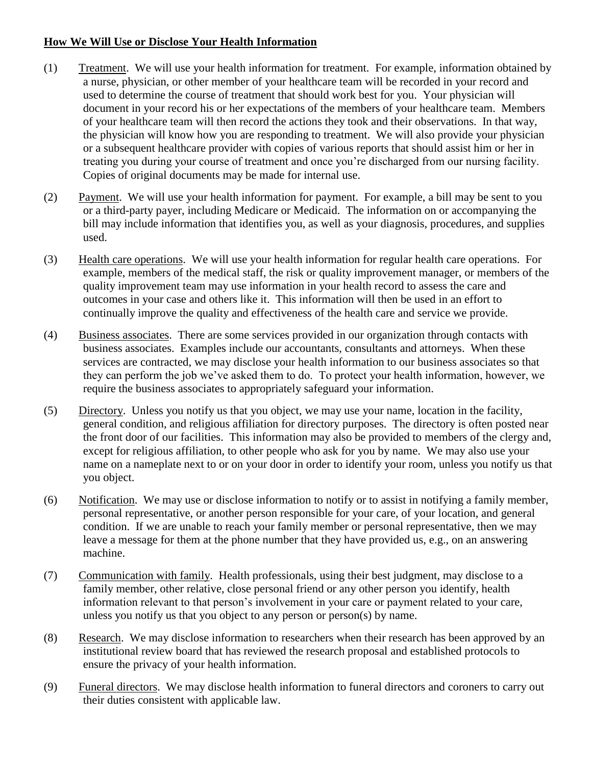## **How We Will Use or Disclose Your Health Information**

- (1) Treatment. We will use your health information for treatment. For example, information obtained by a nurse, physician, or other member of your healthcare team will be recorded in your record and used to determine the course of treatment that should work best for you. Your physician will document in your record his or her expectations of the members of your healthcare team. Members of your healthcare team will then record the actions they took and their observations. In that way, the physician will know how you are responding to treatment. We will also provide your physician or a subsequent healthcare provider with copies of various reports that should assist him or her in treating you during your course of treatment and once you're discharged from our nursing facility. Copies of original documents may be made for internal use.
- (2) Payment. We will use your health information for payment. For example, a bill may be sent to you or a third-party payer, including Medicare or Medicaid. The information on or accompanying the bill may include information that identifies you, as well as your diagnosis, procedures, and supplies used.
- (3) Health care operations. We will use your health information for regular health care operations. For example, members of the medical staff, the risk or quality improvement manager, or members of the quality improvement team may use information in your health record to assess the care and outcomes in your case and others like it. This information will then be used in an effort to continually improve the quality and effectiveness of the health care and service we provide.
- (4) Business associates. There are some services provided in our organization through contacts with business associates. Examples include our accountants, consultants and attorneys. When these services are contracted, we may disclose your health information to our business associates so that they can perform the job we've asked them to do. To protect your health information, however, we require the business associates to appropriately safeguard your information.
- (5) Directory. Unless you notify us that you object, we may use your name, location in the facility, general condition, and religious affiliation for directory purposes. The directory is often posted near the front door of our facilities. This information may also be provided to members of the clergy and, except for religious affiliation, to other people who ask for you by name. We may also use your name on a nameplate next to or on your door in order to identify your room, unless you notify us that you object.
- (6) Notification. We may use or disclose information to notify or to assist in notifying a family member, personal representative, or another person responsible for your care, of your location, and general condition. If we are unable to reach your family member or personal representative, then we may leave a message for them at the phone number that they have provided us, e.g., on an answering machine.
- (7) Communication with family. Health professionals, using their best judgment, may disclose to a family member, other relative, close personal friend or any other person you identify, health information relevant to that person's involvement in your care or payment related to your care, unless you notify us that you object to any person or person(s) by name.
- (8) Research. We may disclose information to researchers when their research has been approved by an institutional review board that has reviewed the research proposal and established protocols to ensure the privacy of your health information.
- (9) Funeral directors. We may disclose health information to funeral directors and coroners to carry out their duties consistent with applicable law.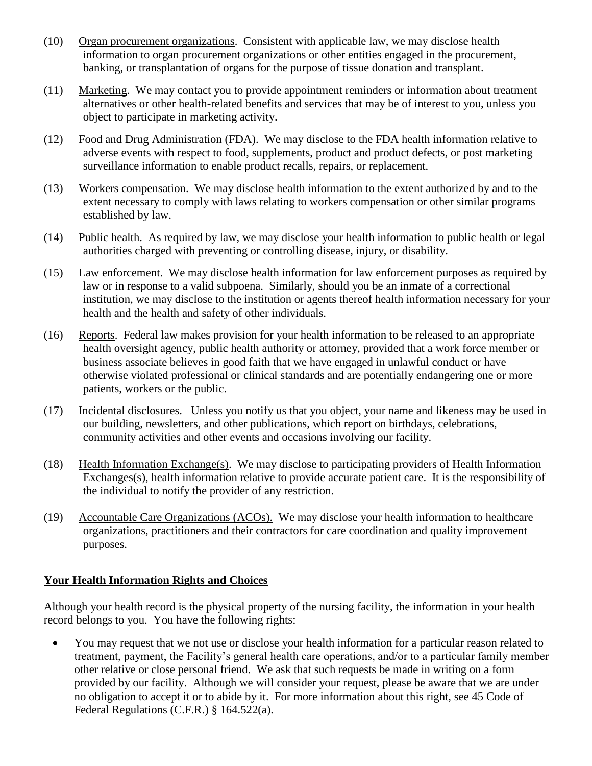- (10) Organ procurement organizations. Consistent with applicable law, we may disclose health information to organ procurement organizations or other entities engaged in the procurement, banking, or transplantation of organs for the purpose of tissue donation and transplant.
- (11) Marketing. We may contact you to provide appointment reminders or information about treatment alternatives or other health-related benefits and services that may be of interest to you, unless you object to participate in marketing activity.
- (12) Food and Drug Administration (FDA). We may disclose to the FDA health information relative to adverse events with respect to food, supplements, product and product defects, or post marketing surveillance information to enable product recalls, repairs, or replacement.
- (13) Workers compensation. We may disclose health information to the extent authorized by and to the extent necessary to comply with laws relating to workers compensation or other similar programs established by law.
- (14) Public health. As required by law, we may disclose your health information to public health or legal authorities charged with preventing or controlling disease, injury, or disability.
- (15) Law enforcement. We may disclose health information for law enforcement purposes as required by law or in response to a valid subpoena. Similarly, should you be an inmate of a correctional institution, we may disclose to the institution or agents thereof health information necessary for your health and the health and safety of other individuals.
- (16) Reports. Federal law makes provision for your health information to be released to an appropriate health oversight agency, public health authority or attorney, provided that a work force member or business associate believes in good faith that we have engaged in unlawful conduct or have otherwise violated professional or clinical standards and are potentially endangering one or more patients, workers or the public.
- (17) Incidental disclosures. Unless you notify us that you object, your name and likeness may be used in our building, newsletters, and other publications, which report on birthdays, celebrations, community activities and other events and occasions involving our facility.
- (18) Health Information Exchange(s). We may disclose to participating providers of Health Information Exchanges(s), health information relative to provide accurate patient care. It is the responsibility of the individual to notify the provider of any restriction.
- (19) Accountable Care Organizations (ACOs). We may disclose your health information to healthcare organizations, practitioners and their contractors for care coordination and quality improvement purposes.

### **Your Health Information Rights and Choices**

Although your health record is the physical property of the nursing facility, the information in your health record belongs to you. You have the following rights:

 You may request that we not use or disclose your health information for a particular reason related to treatment, payment, the Facility's general health care operations, and/or to a particular family member other relative or close personal friend. We ask that such requests be made in writing on a form provided by our facility. Although we will consider your request, please be aware that we are under no obligation to accept it or to abide by it. For more information about this right, see 45 Code of Federal Regulations (C.F.R.) § 164.522(a).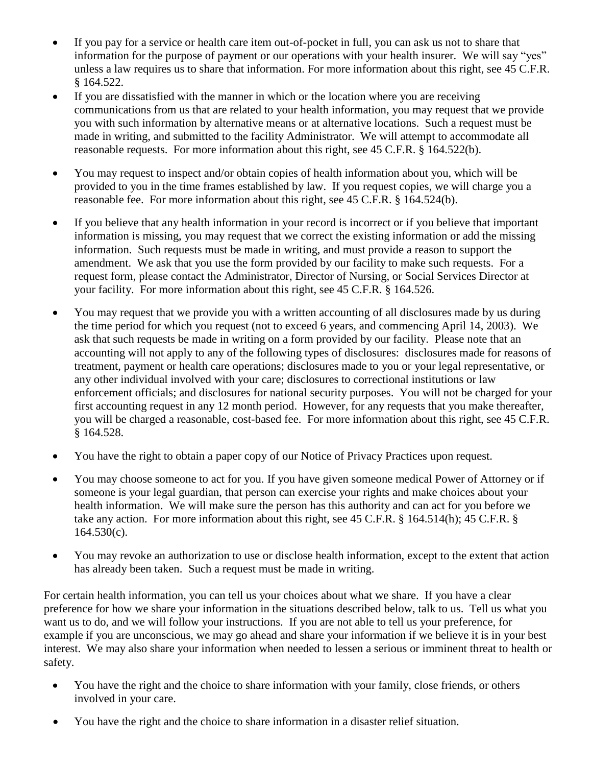- If you pay for a service or health care item out-of-pocket in full, you can ask us not to share that information for the purpose of payment or our operations with your health insurer. We will say "yes" unless a law requires us to share that information. For more information about this right, see 45 C.F.R. § 164.522.
- If you are dissatisfied with the manner in which or the location where you are receiving communications from us that are related to your health information, you may request that we provide you with such information by alternative means or at alternative locations. Such a request must be made in writing, and submitted to the facility Administrator. We will attempt to accommodate all reasonable requests. For more information about this right, see 45 C.F.R. § 164.522(b).
- You may request to inspect and/or obtain copies of health information about you, which will be provided to you in the time frames established by law. If you request copies, we will charge you a reasonable fee. For more information about this right, see 45 C.F.R. § 164.524(b).
- If you believe that any health information in your record is incorrect or if you believe that important information is missing, you may request that we correct the existing information or add the missing information. Such requests must be made in writing, and must provide a reason to support the amendment. We ask that you use the form provided by our facility to make such requests. For a request form, please contact the Administrator, Director of Nursing, or Social Services Director at your facility. For more information about this right, see 45 C.F.R. § 164.526.
- You may request that we provide you with a written accounting of all disclosures made by us during the time period for which you request (not to exceed 6 years, and commencing April 14, 2003). We ask that such requests be made in writing on a form provided by our facility. Please note that an accounting will not apply to any of the following types of disclosures: disclosures made for reasons of treatment, payment or health care operations; disclosures made to you or your legal representative, or any other individual involved with your care; disclosures to correctional institutions or law enforcement officials; and disclosures for national security purposes. You will not be charged for your first accounting request in any 12 month period. However, for any requests that you make thereafter, you will be charged a reasonable, cost-based fee. For more information about this right, see 45 C.F.R. § 164.528.
- You have the right to obtain a paper copy of our Notice of Privacy Practices upon request.
- You may choose someone to act for you. If you have given someone medical Power of Attorney or if someone is your legal guardian, that person can exercise your rights and make choices about your health information. We will make sure the person has this authority and can act for you before we take any action. For more information about this right, see 45 C.F.R. § 164.514(h); 45 C.F.R. §  $164.530(c)$ .
- You may revoke an authorization to use or disclose health information, except to the extent that action has already been taken. Such a request must be made in writing.

For certain health information, you can tell us your choices about what we share. If you have a clear preference for how we share your information in the situations described below, talk to us. Tell us what you want us to do, and we will follow your instructions. If you are not able to tell us your preference, for example if you are unconscious, we may go ahead and share your information if we believe it is in your best interest. We may also share your information when needed to lessen a serious or imminent threat to health or safety.

- You have the right and the choice to share information with your family, close friends, or others involved in your care.
- You have the right and the choice to share information in a disaster relief situation.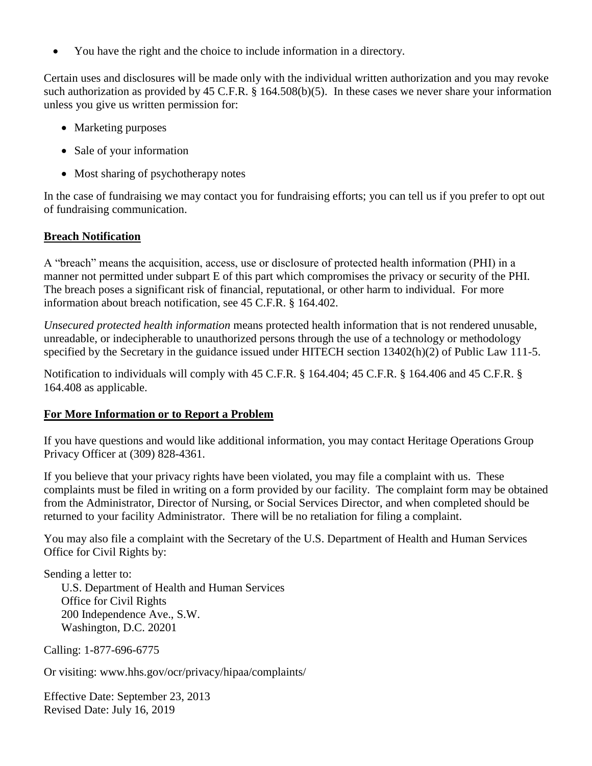You have the right and the choice to include information in a directory.

Certain uses and disclosures will be made only with the individual written authorization and you may revoke such authorization as provided by 45 C.F.R. § 164.508(b)(5). In these cases we never share your information unless you give us written permission for:

- Marketing purposes
- Sale of your information
- Most sharing of psychotherapy notes

In the case of fundraising we may contact you for fundraising efforts; you can tell us if you prefer to opt out of fundraising communication.

# **Breach Notification**

A "breach" means the acquisition, access, use or disclosure of protected health information (PHI) in a manner not permitted under subpart E of this part which compromises the privacy or security of the PHI. The breach poses a significant risk of financial, reputational, or other harm to individual. For more information about breach notification, see 45 C.F.R. § 164.402.

*Unsecured protected health information* means protected health information that is not rendered unusable, unreadable, or indecipherable to unauthorized persons through the use of a technology or methodology specified by the Secretary in the guidance issued under HITECH section 13402(h)(2) of Public Law 111-5.

Notification to individuals will comply with 45 C.F.R. § 164.404; 45 C.F.R. § 164.406 and 45 C.F.R. § 164.408 as applicable.

# **For More Information or to Report a Problem**

If you have questions and would like additional information, you may contact Heritage Operations Group Privacy Officer at (309) 828-4361.

If you believe that your privacy rights have been violated, you may file a complaint with us. These complaints must be filed in writing on a form provided by our facility. The complaint form may be obtained from the Administrator, Director of Nursing, or Social Services Director, and when completed should be returned to your facility Administrator. There will be no retaliation for filing a complaint.

You may also file a complaint with the Secretary of the U.S. Department of Health and Human Services Office for Civil Rights by:

Sending a letter to: U.S. Department of Health and Human Services Office for Civil Rights 200 Independence Ave., S.W. Washington, D.C. 20201

Calling: 1-877-696-6775

Or visiting: www.hhs.gov/ocr/privacy/hipaa/complaints/

Effective Date: September 23, 2013 Revised Date: July 16, 2019